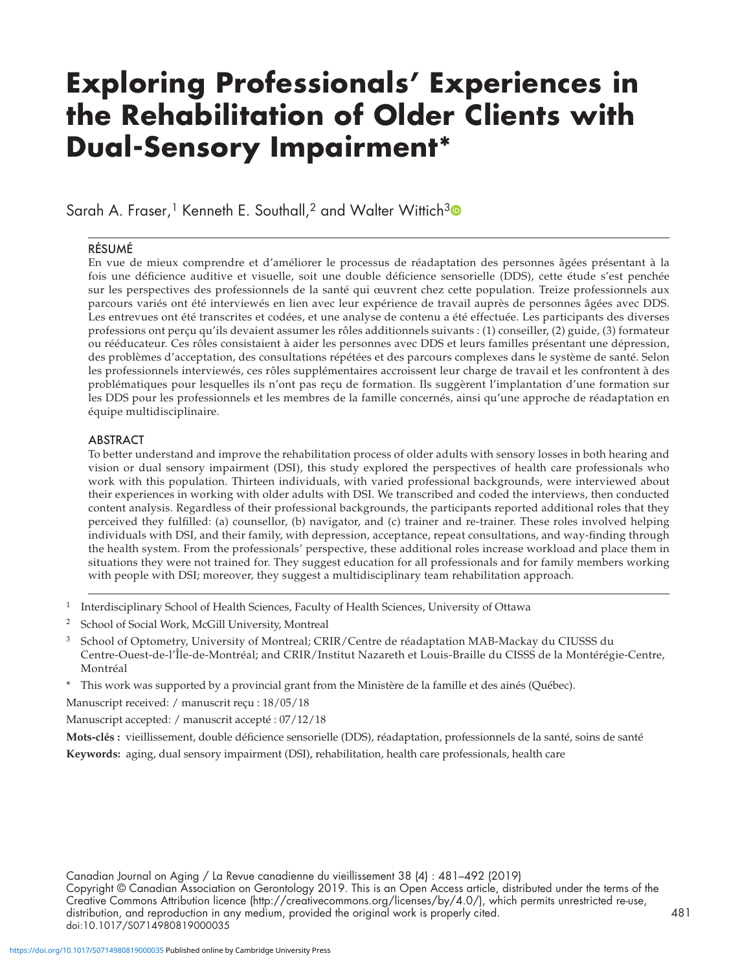# **Exploring Professionals' Experiences in the Rehabilitation of Older Clients with Dual-Sensory Impairment\***

Sarah A. Fraser,<sup>1</sup> Kenneth E. Southall,<sup>2</sup> and Walter Wittich<sup>[3](https://orcid.org/0000-0003-2184-6139)</sup>

#### RÉSUMÉ

En vue de mieux comprendre et d'améliorer le processus de réadaptation des personnes âgées présentant à la fois une déficience auditive et visuelle, soit une double déficience sensorielle (DDS), cette étude s'est penchée sur les perspectives des professionnels de la santé qui œuvrent chez cette population. Treize professionnels aux parcours variés ont été interviewés en lien avec leur expérience de travail auprès de personnes âgées avec DDS. Les entrevues ont été transcrites et codées, et une analyse de contenu a été effectuée. Les participants des diverses professions ont perçu qu'ils devaient assumer les rôles additionnels suivants : (1) conseiller, (2) guide, (3) formateur ou rééducateur. Ces rôles consistaient à aider les personnes avec DDS et leurs familles présentant une dépression, des problèmes d'acceptation, des consultations répétées et des parcours complexes dans le système de santé. Selon les professionnels interviewés, ces rôles supplémentaires accroissent leur charge de travail et les confrontent à des problématiques pour lesquelles ils n'ont pas reçu de formation. Ils suggèrent l'implantation d'une formation sur les DDS pour les professionnels et les membres de la famille concernés, ainsi qu'une approche de réadaptation en équipe multidisciplinaire.

#### ABSTRACT

To better understand and improve the rehabilitation process of older adults with sensory losses in both hearing and vision or dual sensory impairment (DSI), this study explored the perspectives of health care professionals who work with this population. Thirteen individuals, with varied professional backgrounds, were interviewed about their experiences in working with older adults with DSI. We transcribed and coded the interviews, then conducted content analysis. Regardless of their professional backgrounds, the participants reported additional roles that they perceived they fulfilled: (a) counsellor, (b) navigator, and (c) trainer and re-trainer. These roles involved helping individuals with DSI, and their family, with depression, acceptance, repeat consultations, and way-finding through the health system. From the professionals' perspective, these additional roles increase workload and place them in situations they were not trained for. They suggest education for all professionals and for family members working with people with DSI; moreover, they suggest a multidisciplinary team rehabilitation approach.

- <sup>1</sup> Interdisciplinary School of Health Sciences, Faculty of Health Sciences, University of Ottawa
- <sup>2</sup> School of Social Work, McGill University, Montreal
- <sup>3</sup> School of Optometry, University of Montreal; CRIR/Centre de réadaptation MAB-Mackay du CIUSSS du Centre-Ouest-de-l'Île-de-Montréal; and CRIR/Institut Nazareth et Louis-Braille du CISSS de la Montérégie-Centre, Montréal
- This work was supported by a provincial grant from the Ministère de la famille et des ainés (Québec).

Manuscript received: / manuscrit reçu : 18/05/18

Manuscript accepted: / manuscrit accepté : 07/12/18

**Mots-clés :** vieillissement, double déficience sensorielle (DDS), réadaptation, professionnels de la santé, soins de santé **Keywords:** aging, dual sensory impairment (DSI), rehabilitation, health care professionals, health care

Canadian Journal on Aging / La Revue canadienne du vieillissement 38 (4) : 481–492 (2019)

Copyright © Canadian Association on Gerontology 2019. This is an Open Access article, distributed under the terms of the Creative Commons Attribution licence (http://creativecommons.org/licenses/by/4.0/), which permits unrestricted re-use, distribution, and reproduction in any medium, provided the original work is properly cited. doi:10.1017/S0714980819000035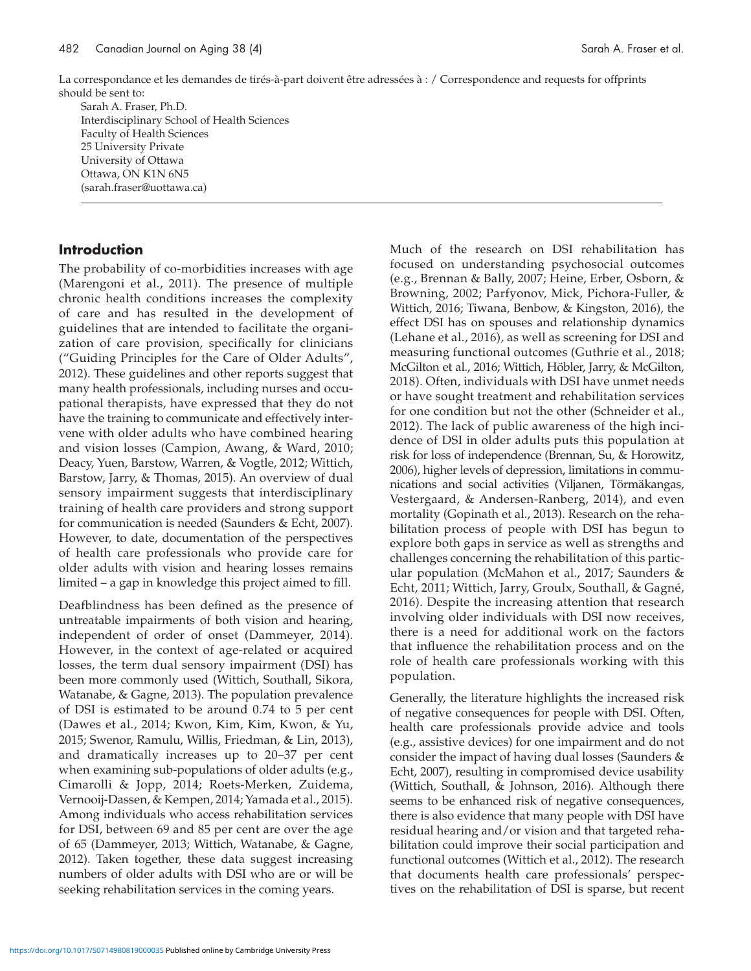La correspondance et les demandes de tirés-à-part doivent être adressées à : / Correspondence and requests for offprints should be sent to:

Sarah A. Fraser, Ph.D. Interdisciplinary School of Health Sciences Faculty of Health Sciences 25 University Private University of Ottawa Ottawa, ON K1N 6N5 (sarah.fraser@uottawa.ca)

## **Introduction**

The probability of co-morbidities increases with age (Marengoni et al., 2011). The presence of multiple chronic health conditions increases the complexity of care and has resulted in the development of guidelines that are intended to facilitate the organization of care provision, specifically for clinicians ("Guiding Principles for the Care of Older Adults", 2012). These guidelines and other reports suggest that many health professionals, including nurses and occupational therapists, have expressed that they do not have the training to communicate and effectively intervene with older adults who have combined hearing and vision losses (Campion, Awang, & Ward, 2010; Deacy, Yuen, Barstow, Warren, & Vogtle, 2012; Wittich, Barstow, Jarry, & Thomas, 2015). An overview of dual sensory impairment suggests that interdisciplinary training of health care providers and strong support for communication is needed (Saunders & Echt, 2007). However, to date, documentation of the perspectives of health care professionals who provide care for older adults with vision and hearing losses remains limited – a gap in knowledge this project aimed to fill.

Deafblindness has been defined as the presence of untreatable impairments of both vision and hearing, independent of order of onset (Dammeyer, 2014). However, in the context of age-related or acquired losses, the term dual sensory impairment (DSI) has been more commonly used (Wittich, Southall, Sikora, Watanabe, & Gagne, 2013). The population prevalence of DSI is estimated to be around 0.74 to 5 per cent (Dawes et al., 2014; Kwon, Kim, Kim, Kwon, & Yu, 2015; Swenor, Ramulu, Willis, Friedman, & Lin, 2013), and dramatically increases up to 20–37 per cent when examining sub-populations of older adults (e.g., Cimarolli & Jopp, 2014; Roets-Merken, Zuidema, Vernooij-Dassen, & Kempen, 2014; Yamada et al., 2015). Among individuals who access rehabilitation services for DSI, between 69 and 85 per cent are over the age of 65 (Dammeyer, 2013; Wittich, Watanabe, & Gagne, 2012). Taken together, these data suggest increasing numbers of older adults with DSI who are or will be seeking rehabilitation services in the coming years.

Much of the research on DSI rehabilitation has focused on understanding psychosocial outcomes (e.g., Brennan & Bally, 2007; Heine, Erber, Osborn, & Browning, 2002; Parfyonov, Mick, Pichora-Fuller, & Wittich, 2016; Tiwana, Benbow, & Kingston, 2016), the effect DSI has on spouses and relationship dynamics (Lehane et al., 2016), as well as screening for DSI and measuring functional outcomes (Guthrie et al., 2018; McGilton et al., 2016; Wittich, Höbler, Jarry, & McGilton, 2018). Often, individuals with DSI have unmet needs or have sought treatment and rehabilitation services for one condition but not the other (Schneider et al., 2012). The lack of public awareness of the high incidence of DSI in older adults puts this population at risk for loss of independence (Brennan, Su, & Horowitz, 2006), higher levels of depression, limitations in communications and social activities (Viljanen, Törmäkangas, Vestergaard, & Andersen-Ranberg, 2014), and even mortality (Gopinath et al., 2013). Research on the rehabilitation process of people with DSI has begun to explore both gaps in service as well as strengths and challenges concerning the rehabilitation of this particular population (McMahon et al., 2017; Saunders & Echt, 2011; Wittich, Jarry, Groulx, Southall, & Gagné, 2016). Despite the increasing attention that research involving older individuals with DSI now receives, there is a need for additional work on the factors that influence the rehabilitation process and on the role of health care professionals working with this population.

Generally, the literature highlights the increased risk of negative consequences for people with DSI. Often, health care professionals provide advice and tools (e.g., assistive devices) for one impairment and do not consider the impact of having dual losses (Saunders & Echt, 2007), resulting in compromised device usability (Wittich, Southall, & Johnson, 2016). Although there seems to be enhanced risk of negative consequences, there is also evidence that many people with DSI have residual hearing and/or vision and that targeted rehabilitation could improve their social participation and functional outcomes (Wittich et al., 2012). The research that documents health care professionals' perspectives on the rehabilitation of DSI is sparse, but recent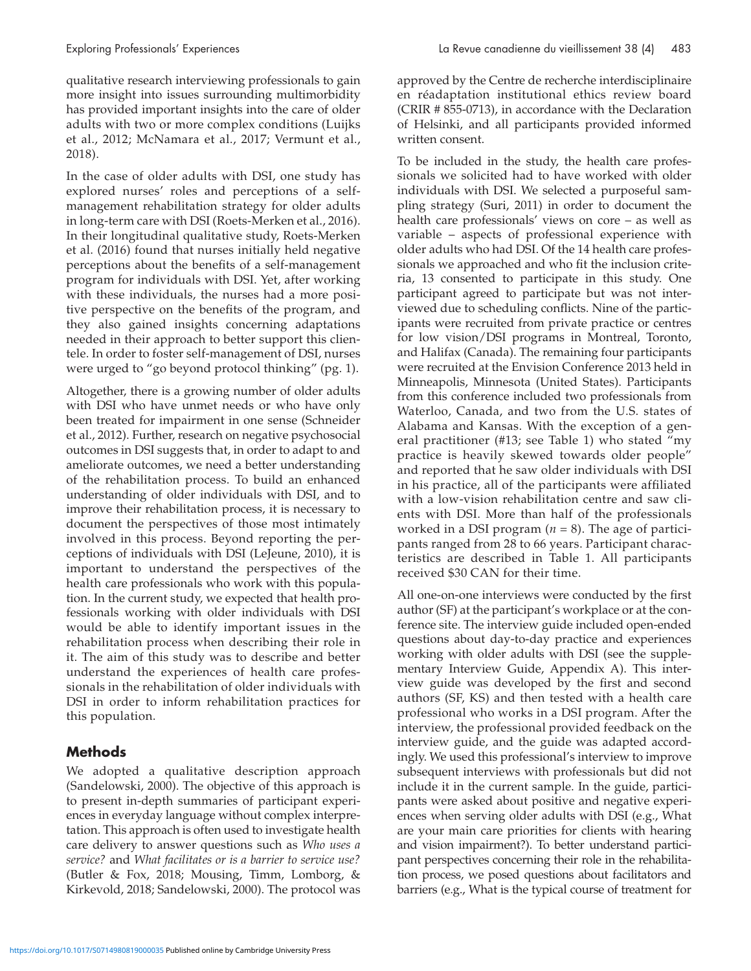qualitative research interviewing professionals to gain more insight into issues surrounding multimorbidity has provided important insights into the care of older adults with two or more complex conditions (Luijks et al., 2012; McNamara et al., 2017; Vermunt et al., 2018).

In the case of older adults with DSI, one study has explored nurses' roles and perceptions of a selfmanagement rehabilitation strategy for older adults in long-term care with DSI (Roets-Merken et al., 2016). In their longitudinal qualitative study, Roets-Merken et al. (2016) found that nurses initially held negative perceptions about the benefits of a self-management program for individuals with DSI. Yet, after working with these individuals, the nurses had a more positive perspective on the benefits of the program, and they also gained insights concerning adaptations needed in their approach to better support this clientele. In order to foster self-management of DSI, nurses were urged to "go beyond protocol thinking" (pg. 1).

Altogether, there is a growing number of older adults with DSI who have unmet needs or who have only been treated for impairment in one sense (Schneider et al., 2012). Further, research on negative psychosocial outcomes in DSI suggests that, in order to adapt to and ameliorate outcomes, we need a better understanding of the rehabilitation process. To build an enhanced understanding of older individuals with DSI, and to improve their rehabilitation process, it is necessary to document the perspectives of those most intimately involved in this process. Beyond reporting the perceptions of individuals with DSI (LeJeune, 2010), it is important to understand the perspectives of the health care professionals who work with this population. In the current study, we expected that health professionals working with older individuals with DSI would be able to identify important issues in the rehabilitation process when describing their role in it. The aim of this study was to describe and better understand the experiences of health care professionals in the rehabilitation of older individuals with DSI in order to inform rehabilitation practices for this population.

## **Methods**

We adopted a qualitative description approach (Sandelowski, 2000). The objective of this approach is to present in-depth summaries of participant experiences in everyday language without complex interpretation. This approach is often used to investigate health care delivery to answer questions such as *Who uses a service?* and *What facilitates or is a barrier to service use?* (Butler & Fox, 2018; Mousing, Timm, Lomborg, & Kirkevold, 2018; Sandelowski, 2000). The protocol was approved by the Centre de recherche interdisciplinaire en réadaptation institutional ethics review board (CRIR # 855-0713), in accordance with the Declaration of Helsinki, and all participants provided informed written consent.

To be included in the study, the health care professionals we solicited had to have worked with older individuals with DSI. We selected a purposeful sampling strategy (Suri, 2011) in order to document the health care professionals' views on core – as well as variable – aspects of professional experience with older adults who had DSI. Of the 14 health care professionals we approached and who fit the inclusion criteria, 13 consented to participate in this study. One participant agreed to participate but was not interviewed due to scheduling conflicts. Nine of the participants were recruited from private practice or centres for low vision/DSI programs in Montreal, Toronto, and Halifax (Canada). The remaining four participants were recruited at the Envision Conference 2013 held in Minneapolis, Minnesota (United States). Participants from this conference included two professionals from Waterloo, Canada, and two from the U.S. states of Alabama and Kansas. With the exception of a general practitioner (#13; see Table 1) who stated "my practice is heavily skewed towards older people" and reported that he saw older individuals with DSI in his practice, all of the participants were affiliated with a low-vision rehabilitation centre and saw clients with DSI. More than half of the professionals worked in a DSI program (*n* = 8). The age of participants ranged from 28 to 66 years. Participant characteristics are described in Table 1. All participants received \$30 CAN for their time.

All one-on-one interviews were conducted by the first author (SF) at the participant's workplace or at the conference site. The interview guide included open-ended questions about day-to-day practice and experiences working with older adults with DSI (see the supplementary Interview Guide, Appendix A). This interview guide was developed by the first and second authors (SF, KS) and then tested with a health care professional who works in a DSI program. After the interview, the professional provided feedback on the interview guide, and the guide was adapted accordingly. We used this professional's interview to improve subsequent interviews with professionals but did not include it in the current sample. In the guide, participants were asked about positive and negative experiences when serving older adults with DSI (e.g., What are your main care priorities for clients with hearing and vision impairment?). To better understand participant perspectives concerning their role in the rehabilitation process, we posed questions about facilitators and barriers (e.g., What is the typical course of treatment for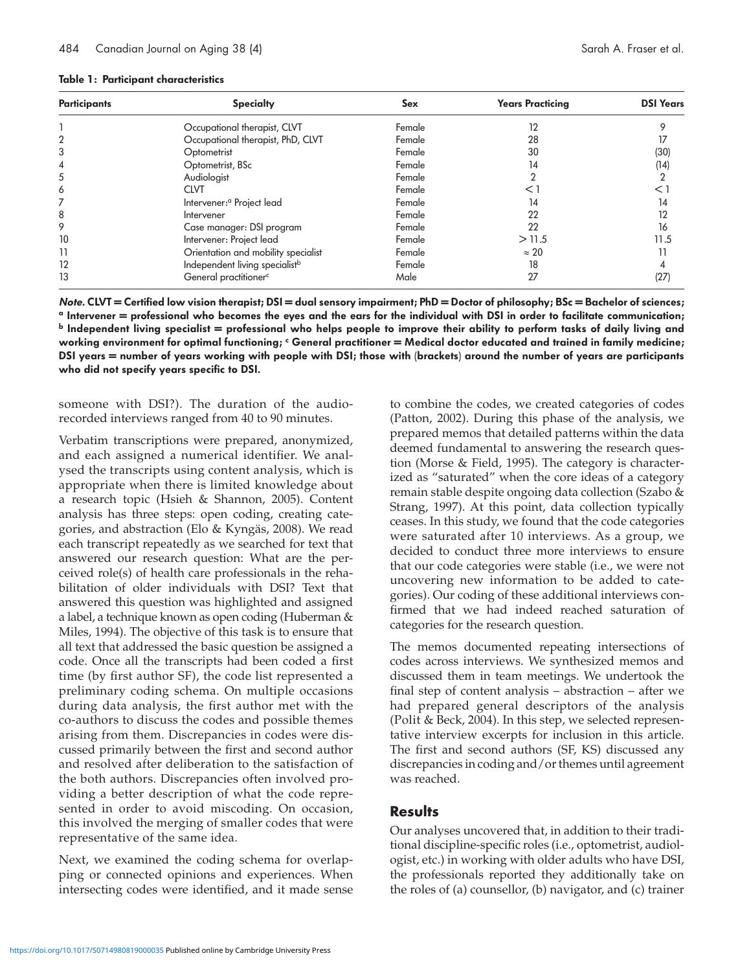#### **Table 1: Participant characteristics**

| <b>Participants</b> | Specialty                                  | Sex    | <b>Years Practicing</b> | <b>DSI Years</b> |
|---------------------|--------------------------------------------|--------|-------------------------|------------------|
|                     | Occupational therapist, CLVT               | Female | 12                      |                  |
| 2                   | Occupational therapist, PhD, CLVT          | Female | 28                      |                  |
| 3                   | Optometrist                                | Female | 30                      | (30)             |
| 4                   | Optometrist, BSc                           | Female | 14                      | (14)             |
| 5                   | Audiologist                                | Female |                         |                  |
| 6                   | <b>CLVT</b>                                | Female |                         |                  |
|                     | Intervener: <sup>a</sup> Project lead      | Female | 14                      | 14               |
| 8                   | Intervener                                 | Female | 22                      | 12               |
| 9                   | Case manager: DSI program                  | Female | 22                      | 16               |
| 10                  | Intervener: Project lead                   | Female | >11.5                   | 11.5             |
| 11                  | Orientation and mobility specialist        | Female | $\approx 20$            |                  |
| 12                  | Independent living specialist <sup>b</sup> | Female | 18                      |                  |
| 13                  | General practitioner <sup>c</sup>          | Male   | 27                      | (27              |

*Note.* CLVT = Certified low vision therapist; DSI = dual sensory impairment; PhD = Doctor of philosophy; BSc = Bachelor of sciences;<br>a Intervener = professional who becomes the eyes and the ears for the individual with D **b Independent living specialist = professional who helps people to improve their ability to perform tasks of daily living and working environment for optimal functioning; c General practitioner = Medical doctor educated and trained in family medicine; DSI years = number of years working with people with DSI; those with (brackets) around the number of years are participants who did not specify years specific to DSI.**

someone with DSI?). The duration of the audiorecorded interviews ranged from 40 to 90 minutes.

Verbatim transcriptions were prepared, anonymized, and each assigned a numerical identifier. We analysed the transcripts using content analysis, which is appropriate when there is limited knowledge about a research topic (Hsieh & Shannon, 2005). Content analysis has three steps: open coding, creating categories, and abstraction (Elo & Kyngäs, 2008). We read each transcript repeatedly as we searched for text that answered our research question: What are the perceived role(s) of health care professionals in the rehabilitation of older individuals with DSI? Text that answered this question was highlighted and assigned a label, a technique known as open coding (Huberman & Miles, 1994). The objective of this task is to ensure that all text that addressed the basic question be assigned a code. Once all the transcripts had been coded a first time (by first author SF), the code list represented a preliminary coding schema. On multiple occasions during data analysis, the first author met with the co-authors to discuss the codes and possible themes arising from them. Discrepancies in codes were discussed primarily between the first and second author and resolved after deliberation to the satisfaction of the both authors. Discrepancies often involved providing a better description of what the code represented in order to avoid miscoding. On occasion, this involved the merging of smaller codes that were representative of the same idea.

Next, we examined the coding schema for overlapping or connected opinions and experiences. When intersecting codes were identified, and it made sense

to combine the codes, we created categories of codes (Patton, 2002). During this phase of the analysis, we prepared memos that detailed patterns within the data deemed fundamental to answering the research question (Morse & Field, 1995). The category is characterized as "saturated" when the core ideas of a category remain stable despite ongoing data collection (Szabo & Strang, 1997). At this point, data collection typically ceases. In this study, we found that the code categories were saturated after 10 interviews. As a group, we decided to conduct three more interviews to ensure that our code categories were stable (i.e., we were not uncovering new information to be added to categories). Our coding of these additional interviews confirmed that we had indeed reached saturation of categories for the research question.

The memos documented repeating intersections of codes across interviews. We synthesized memos and discussed them in team meetings. We undertook the final step of content analysis – abstraction – after we had prepared general descriptors of the analysis (Polit & Beck, 2004). In this step, we selected representative interview excerpts for inclusion in this article. The first and second authors (SF, KS) discussed any discrepancies in coding and/or themes until agreement was reached.

#### **Results**

Our analyses uncovered that, in addition to their traditional discipline-specific roles (i.e., optometrist, audiologist, etc.) in working with older adults who have DSI, the professionals reported they additionally take on the roles of (a) counsellor, (b) navigator, and (c) trainer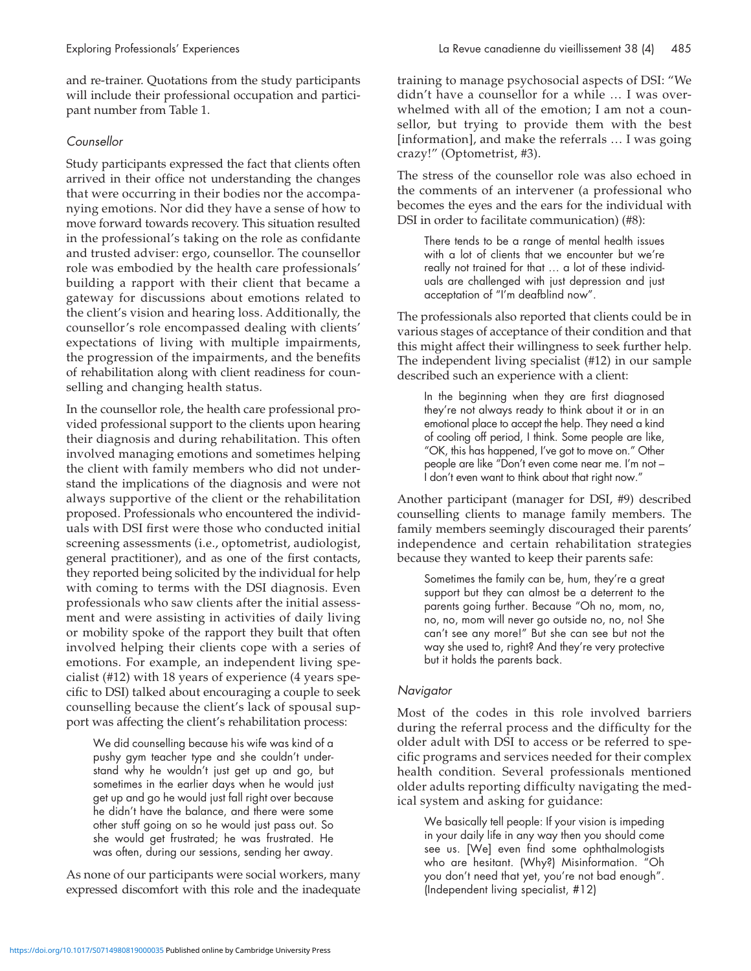and re-trainer. Quotations from the study participants will include their professional occupation and participant number from Table 1.

## *Counsellor*

Study participants expressed the fact that clients often arrived in their office not understanding the changes that were occurring in their bodies nor the accompanying emotions. Nor did they have a sense of how to move forward towards recovery. This situation resulted in the professional's taking on the role as confidante and trusted adviser: ergo, counsellor. The counsellor role was embodied by the health care professionals' building a rapport with their client that became a gateway for discussions about emotions related to the client's vision and hearing loss. Additionally, the counsellor's role encompassed dealing with clients' expectations of living with multiple impairments, the progression of the impairments, and the benefits of rehabilitation along with client readiness for counselling and changing health status.

In the counsellor role, the health care professional provided professional support to the clients upon hearing their diagnosis and during rehabilitation. This often involved managing emotions and sometimes helping the client with family members who did not understand the implications of the diagnosis and were not always supportive of the client or the rehabilitation proposed. Professionals who encountered the individuals with DSI first were those who conducted initial screening assessments (i.e., optometrist, audiologist, general practitioner), and as one of the first contacts, they reported being solicited by the individual for help with coming to terms with the DSI diagnosis. Even professionals who saw clients after the initial assessment and were assisting in activities of daily living or mobility spoke of the rapport they built that often involved helping their clients cope with a series of emotions. For example, an independent living specialist (#12) with 18 years of experience (4 years specific to DSI) talked about encouraging a couple to seek counselling because the client's lack of spousal support was affecting the client's rehabilitation process:

We did counselling because his wife was kind of a pushy gym teacher type and she couldn't understand why he wouldn't just get up and go, but sometimes in the earlier days when he would just get up and go he would just fall right over because he didn't have the balance, and there were some other stuff going on so he would just pass out. So she would get frustrated; he was frustrated. He was often, during our sessions, sending her away.

As none of our participants were social workers, many expressed discomfort with this role and the inadequate training to manage psychosocial aspects of DSI: "We didn't have a counsellor for a while … I was overwhelmed with all of the emotion; I am not a counsellor, but trying to provide them with the best [information], and make the referrals … I was going crazy!" (Optometrist, #3).

The stress of the counsellor role was also echoed in the comments of an intervener (a professional who becomes the eyes and the ears for the individual with DSI in order to facilitate communication) (#8):

There tends to be a range of mental health issues with a lot of clients that we encounter but we're really not trained for that … a lot of these individuals are challenged with just depression and just acceptation of "I'm deafblind now".

The professionals also reported that clients could be in various stages of acceptance of their condition and that this might affect their willingness to seek further help. The independent living specialist (#12) in our sample described such an experience with a client:

In the beginning when they are first diagnosed they're not always ready to think about it or in an emotional place to accept the help. They need a kind of cooling off period, I think. Some people are like, "OK, this has happened, I've got to move on." Other people are like "Don't even come near me. I'm not – I don't even want to think about that right now."

Another participant (manager for DSI, #9) described counselling clients to manage family members. The family members seemingly discouraged their parents' independence and certain rehabilitation strategies because they wanted to keep their parents safe:

Sometimes the family can be, hum, they're a great support but they can almost be a deterrent to the parents going further. Because "Oh no, mom, no, no, no, mom will never go outside no, no, no! She can't see any more!" But she can see but not the way she used to, right? And they're very protective but it holds the parents back.

## *Navigator*

Most of the codes in this role involved barriers during the referral process and the difficulty for the older adult with DSI to access or be referred to specific programs and services needed for their complex health condition. Several professionals mentioned older adults reporting difficulty navigating the medical system and asking for guidance:

We basically tell people: If your vision is impeding in your daily life in any way then you should come see us. [We] even find some ophthalmologists who are hesitant. (Why?) Misinformation. "Oh you don't need that yet, you're not bad enough". (Independent living specialist, #12)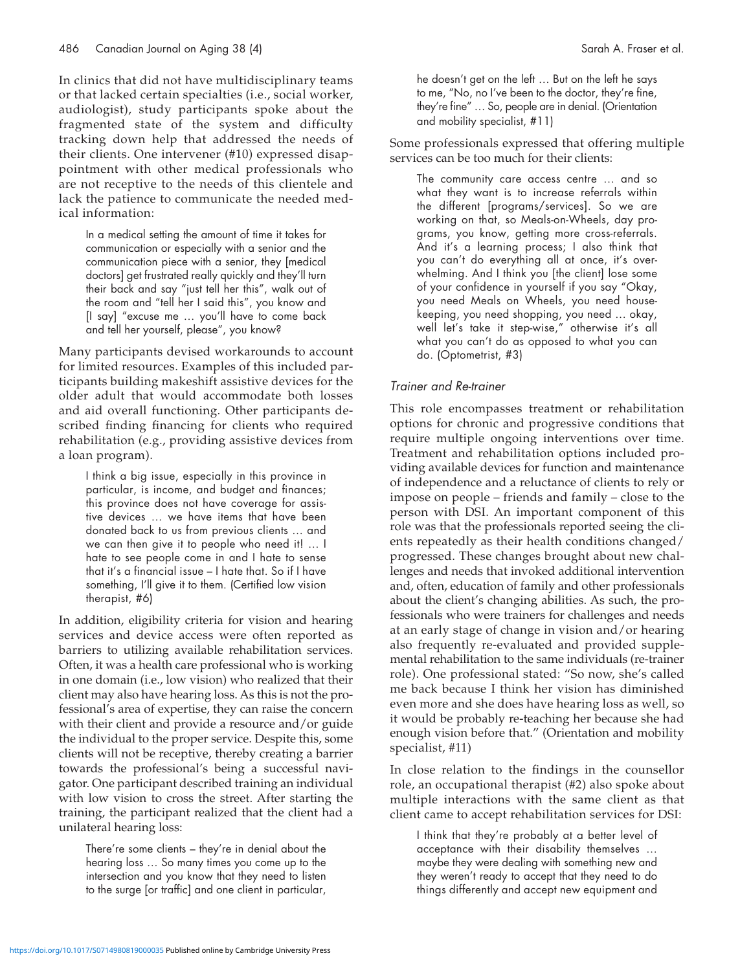In clinics that did not have multidisciplinary teams or that lacked certain specialties (i.e., social worker, audiologist), study participants spoke about the fragmented state of the system and difficulty tracking down help that addressed the needs of their clients. One intervener (#10) expressed disappointment with other medical professionals who are not receptive to the needs of this clientele and lack the patience to communicate the needed medical information:

In a medical setting the amount of time it takes for communication or especially with a senior and the communication piece with a senior, they [medical doctors] get frustrated really quickly and they'll turn their back and say "just tell her this", walk out of the room and "tell her I said this", you know and [I say] "excuse me … you'll have to come back and tell her yourself, please", you know?

Many participants devised workarounds to account for limited resources. Examples of this included participants building makeshift assistive devices for the older adult that would accommodate both losses and aid overall functioning. Other participants described finding financing for clients who required rehabilitation (e.g., providing assistive devices from a loan program).

I think a big issue, especially in this province in particular, is income, and budget and finances; this province does not have coverage for assistive devices … we have items that have been donated back to us from previous clients … and we can then give it to people who need it! … I hate to see people come in and I hate to sense that it's a financial issue – I hate that. So if I have something, I'll give it to them. (Certified low vision therapist, #6)

In addition, eligibility criteria for vision and hearing services and device access were often reported as barriers to utilizing available rehabilitation services. Often, it was a health care professional who is working in one domain (i.e., low vision) who realized that their client may also have hearing loss. As this is not the professional's area of expertise, they can raise the concern with their client and provide a resource and/or guide the individual to the proper service. Despite this, some clients will not be receptive, thereby creating a barrier towards the professional's being a successful navigator. One participant described training an individual with low vision to cross the street. After starting the training, the participant realized that the client had a unilateral hearing loss:

There're some clients – they're in denial about the hearing loss … So many times you come up to the intersection and you know that they need to listen to the surge [or traffic] and one client in particular, he doesn't get on the left … But on the left he says to me, "No, no I've been to the doctor, they're fine, they're fine" … So, people are in denial. (Orientation and mobility specialist, #11)

Some professionals expressed that offering multiple services can be too much for their clients:

The community care access centre … and so what they want is to increase referrals within the different [programs/services]. So we are working on that, so Meals-on-Wheels, day programs, you know, getting more cross-referrals. And it's a learning process; I also think that you can't do everything all at once, it's overwhelming. And I think you [the client] lose some of your confidence in yourself if you say "Okay, you need Meals on Wheels, you need housekeeping, you need shopping, you need … okay, well let's take it step-wise," otherwise it's all what you can't do as opposed to what you can do. (Optometrist, #3)

### *Trainer and Re-trainer*

This role encompasses treatment or rehabilitation options for chronic and progressive conditions that require multiple ongoing interventions over time. Treatment and rehabilitation options included providing available devices for function and maintenance of independence and a reluctance of clients to rely or impose on people – friends and family – close to the person with DSI. An important component of this role was that the professionals reported seeing the clients repeatedly as their health conditions changed/ progressed. These changes brought about new challenges and needs that invoked additional intervention and, often, education of family and other professionals about the client's changing abilities. As such, the professionals who were trainers for challenges and needs at an early stage of change in vision and/or hearing also frequently re-evaluated and provided supplemental rehabilitation to the same individuals (re-trainer role). One professional stated: "So now, she's called me back because I think her vision has diminished even more and she does have hearing loss as well, so it would be probably re-teaching her because she had enough vision before that." (Orientation and mobility specialist, #11)

In close relation to the findings in the counsellor role, an occupational therapist (#2) also spoke about multiple interactions with the same client as that client came to accept rehabilitation services for DSI:

I think that they're probably at a better level of acceptance with their disability themselves … maybe they were dealing with something new and they weren't ready to accept that they need to do things differently and accept new equipment and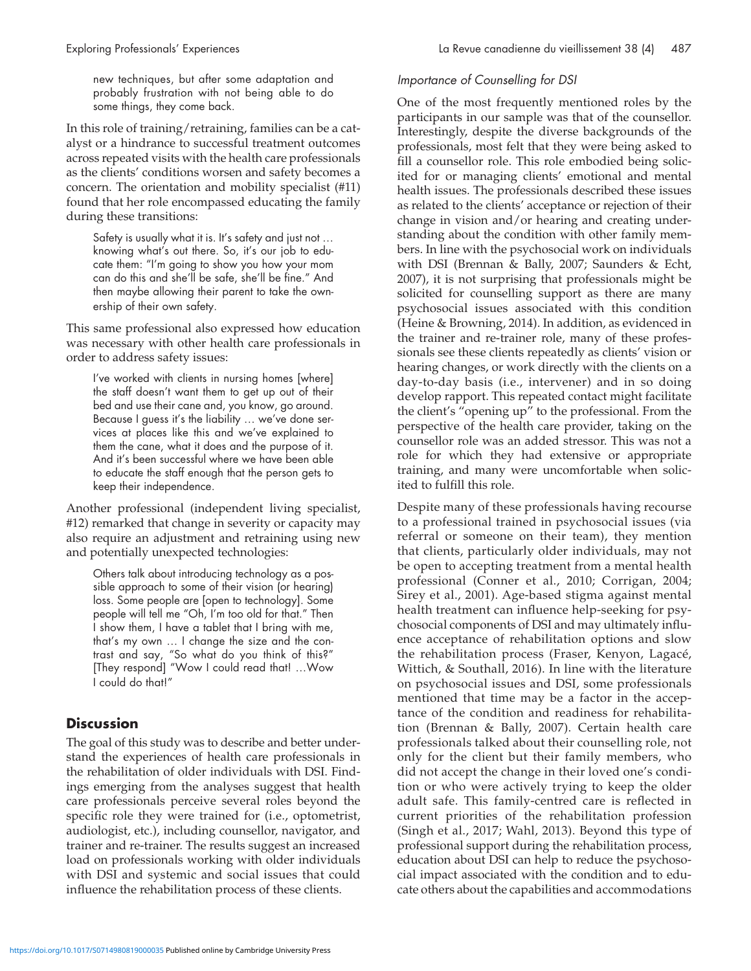new techniques, but after some adaptation and probably frustration with not being able to do some things, they come back.

In this role of training/retraining, families can be a catalyst or a hindrance to successful treatment outcomes across repeated visits with the health care professionals as the clients' conditions worsen and safety becomes a concern. The orientation and mobility specialist (#11) found that her role encompassed educating the family during these transitions:

Safety is usually what it is. It's safety and just not … knowing what's out there. So, it's our job to educate them: "I'm going to show you how your mom can do this and she'll be safe, she'll be fine." And then maybe allowing their parent to take the ownership of their own safety.

This same professional also expressed how education was necessary with other health care professionals in order to address safety issues:

I've worked with clients in nursing homes [where] the staff doesn't want them to get up out of their bed and use their cane and, you know, go around. Because I guess it's the liability … we've done services at places like this and we've explained to them the cane, what it does and the purpose of it. And it's been successful where we have been able to educate the staff enough that the person gets to keep their independence.

Another professional (independent living specialist, #12) remarked that change in severity or capacity may also require an adjustment and retraining using new and potentially unexpected technologies:

Others talk about introducing technology as a possible approach to some of their vision (or hearing) loss. Some people are [open to technology]. Some people will tell me "Oh, I'm too old for that." Then I show them, I have a tablet that I bring with me, that's my own … I change the size and the contrast and say, "So what do you think of this?" [They respond] "Wow I could read that! …Wow I could do that!"

## **Discussion**

The goal of this study was to describe and better understand the experiences of health care professionals in the rehabilitation of older individuals with DSI. Findings emerging from the analyses suggest that health care professionals perceive several roles beyond the specific role they were trained for (i.e., optometrist, audiologist, etc.), including counsellor, navigator, and trainer and re-trainer. The results suggest an increased load on professionals working with older individuals with DSI and systemic and social issues that could influence the rehabilitation process of these clients.

#### *Importance of Counselling for DSI*

One of the most frequently mentioned roles by the participants in our sample was that of the counsellor. Interestingly, despite the diverse backgrounds of the professionals, most felt that they were being asked to fill a counsellor role. This role embodied being solicited for or managing clients' emotional and mental health issues. The professionals described these issues as related to the clients' acceptance or rejection of their change in vision and/or hearing and creating understanding about the condition with other family members. In line with the psychosocial work on individuals with DSI (Brennan & Bally, 2007; Saunders & Echt, 2007), it is not surprising that professionals might be solicited for counselling support as there are many psychosocial issues associated with this condition (Heine & Browning, 2014). In addition, as evidenced in the trainer and re-trainer role, many of these professionals see these clients repeatedly as clients' vision or hearing changes, or work directly with the clients on a day-to-day basis (i.e., intervener) and in so doing develop rapport. This repeated contact might facilitate the client's "opening up" to the professional. From the perspective of the health care provider, taking on the counsellor role was an added stressor. This was not a role for which they had extensive or appropriate training, and many were uncomfortable when solicited to fulfill this role.

Despite many of these professionals having recourse to a professional trained in psychosocial issues (via referral or someone on their team), they mention that clients, particularly older individuals, may not be open to accepting treatment from a mental health professional (Conner et al., 2010; Corrigan, 2004; Sirey et al., 2001). Age-based stigma against mental health treatment can influence help-seeking for psychosocial components of DSI and may ultimately influence acceptance of rehabilitation options and slow the rehabilitation process (Fraser, Kenyon, Lagacé, Wittich, & Southall, 2016). In line with the literature on psychosocial issues and DSI, some professionals mentioned that time may be a factor in the acceptance of the condition and readiness for rehabilitation (Brennan & Bally, 2007). Certain health care professionals talked about their counselling role, not only for the client but their family members, who did not accept the change in their loved one's condition or who were actively trying to keep the older adult safe. This family-centred care is reflected in current priorities of the rehabilitation profession (Singh et al., 2017; Wahl, 2013). Beyond this type of professional support during the rehabilitation process, education about DSI can help to reduce the psychosocial impact associated with the condition and to educate others about the capabilities and accommodations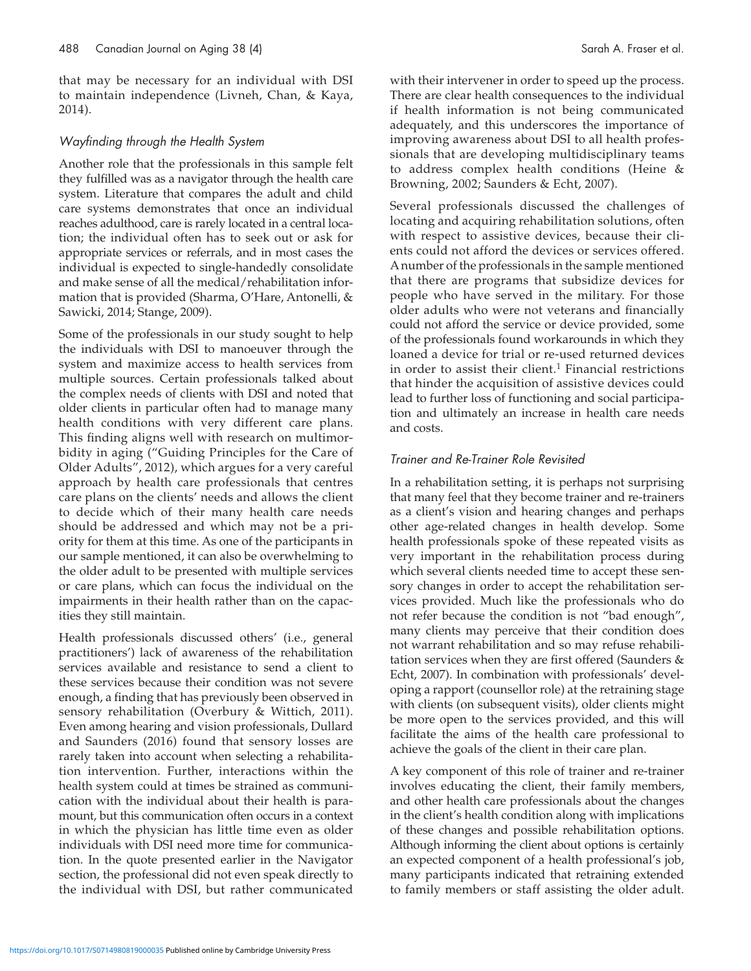that may be necessary for an individual with DSI to maintain independence (Livneh, Chan, & Kaya, 2014).

#### *Wayfinding through the Health System*

Another role that the professionals in this sample felt they fulfilled was as a navigator through the health care system. Literature that compares the adult and child care systems demonstrates that once an individual reaches adulthood, care is rarely located in a central location; the individual often has to seek out or ask for appropriate services or referrals, and in most cases the individual is expected to single-handedly consolidate and make sense of all the medical/rehabilitation information that is provided (Sharma, O'Hare, Antonelli, & Sawicki, 2014; Stange, 2009).

Some of the professionals in our study sought to help the individuals with DSI to manoeuver through the system and maximize access to health services from multiple sources. Certain professionals talked about the complex needs of clients with DSI and noted that older clients in particular often had to manage many health conditions with very different care plans. This finding aligns well with research on multimorbidity in aging ("Guiding Principles for the Care of Older Adults", 2012), which argues for a very careful approach by health care professionals that centres care plans on the clients' needs and allows the client to decide which of their many health care needs should be addressed and which may not be a priority for them at this time. As one of the participants in our sample mentioned, it can also be overwhelming to the older adult to be presented with multiple services or care plans, which can focus the individual on the impairments in their health rather than on the capacities they still maintain.

Health professionals discussed others' (i.e., general practitioners') lack of awareness of the rehabilitation services available and resistance to send a client to these services because their condition was not severe enough, a finding that has previously been observed in sensory rehabilitation (Overbury & Wittich, 2011). Even among hearing and vision professionals, Dullard and Saunders (2016) found that sensory losses are rarely taken into account when selecting a rehabilitation intervention. Further, interactions within the health system could at times be strained as communication with the individual about their health is paramount, but this communication often occurs in a context in which the physician has little time even as older individuals with DSI need more time for communication. In the quote presented earlier in the Navigator section, the professional did not even speak directly to the individual with DSI, but rather communicated

with their intervener in order to speed up the process. There are clear health consequences to the individual if health information is not being communicated adequately, and this underscores the importance of improving awareness about DSI to all health professionals that are developing multidisciplinary teams to address complex health conditions (Heine & Browning, 2002; Saunders & Echt, 2007).

Several professionals discussed the challenges of locating and acquiring rehabilitation solutions, often with respect to assistive devices, because their clients could not afford the devices or services offered. A number of the professionals in the sample mentioned that there are programs that subsidize devices for people who have served in the military. For those older adults who were not veterans and financially could not afford the service or device provided, some of the professionals found workarounds in which they loaned a device for trial or re-used returned devices in order to assist their client.<sup>1</sup> Financial restrictions that hinder the acquisition of assistive devices could lead to further loss of functioning and social participation and ultimately an increase in health care needs and costs.

### *Trainer and Re-Trainer Role Revisited*

In a rehabilitation setting, it is perhaps not surprising that many feel that they become trainer and re-trainers as a client's vision and hearing changes and perhaps other age-related changes in health develop. Some health professionals spoke of these repeated visits as very important in the rehabilitation process during which several clients needed time to accept these sensory changes in order to accept the rehabilitation services provided. Much like the professionals who do not refer because the condition is not "bad enough", many clients may perceive that their condition does not warrant rehabilitation and so may refuse rehabilitation services when they are first offered (Saunders & Echt, 2007). In combination with professionals' developing a rapport (counsellor role) at the retraining stage with clients (on subsequent visits), older clients might be more open to the services provided, and this will facilitate the aims of the health care professional to achieve the goals of the client in their care plan.

A key component of this role of trainer and re-trainer involves educating the client, their family members, and other health care professionals about the changes in the client's health condition along with implications of these changes and possible rehabilitation options. Although informing the client about options is certainly an expected component of a health professional's job, many participants indicated that retraining extended to family members or staff assisting the older adult.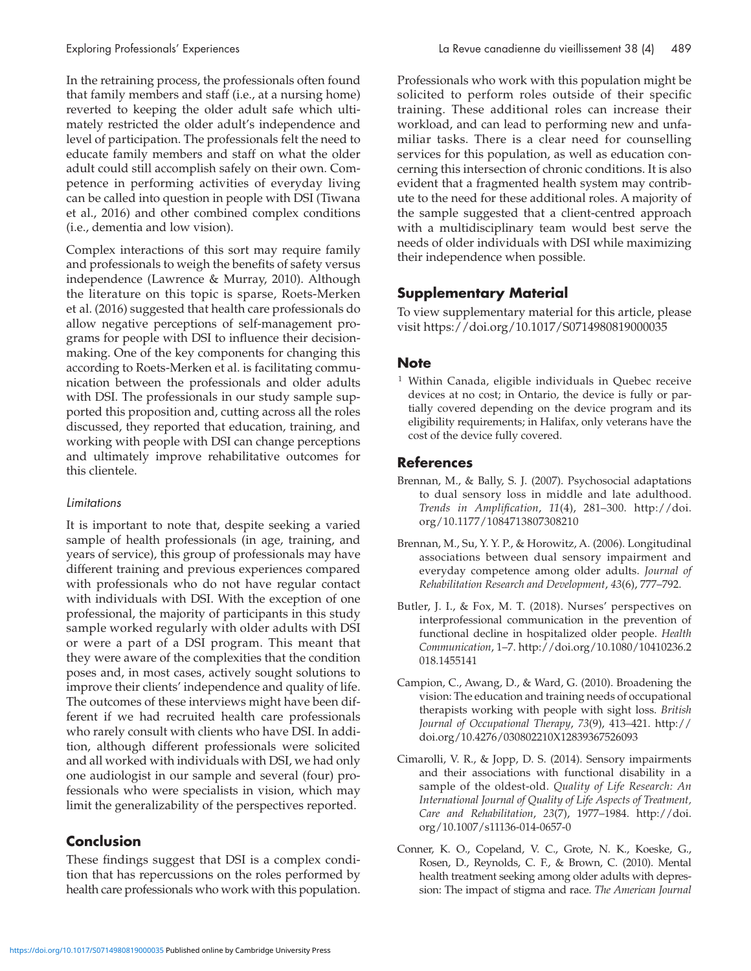In the retraining process, the professionals often found that family members and staff (i.e., at a nursing home) reverted to keeping the older adult safe which ultimately restricted the older adult's independence and level of participation. The professionals felt the need to educate family members and staff on what the older adult could still accomplish safely on their own. Competence in performing activities of everyday living can be called into question in people with DSI (Tiwana et al., 2016) and other combined complex conditions (i.e., dementia and low vision).

Complex interactions of this sort may require family and professionals to weigh the benefits of safety versus independence (Lawrence & Murray, 2010). Although the literature on this topic is sparse, Roets-Merken et al. (2016) suggested that health care professionals do allow negative perceptions of self-management programs for people with DSI to influence their decisionmaking. One of the key components for changing this according to Roets-Merken et al. is facilitating communication between the professionals and older adults with DSI. The professionals in our study sample supported this proposition and, cutting across all the roles discussed, they reported that education, training, and working with people with DSI can change perceptions and ultimately improve rehabilitative outcomes for this clientele.

## *Limitations*

It is important to note that, despite seeking a varied sample of health professionals (in age, training, and years of service), this group of professionals may have different training and previous experiences compared with professionals who do not have regular contact with individuals with DSI. With the exception of one professional, the majority of participants in this study sample worked regularly with older adults with DSI or were a part of a DSI program. This meant that they were aware of the complexities that the condition poses and, in most cases, actively sought solutions to improve their clients' independence and quality of life. The outcomes of these interviews might have been different if we had recruited health care professionals who rarely consult with clients who have DSI. In addition, although different professionals were solicited and all worked with individuals with DSI, we had only one audiologist in our sample and several (four) professionals who were specialists in vision, which may limit the generalizability of the perspectives reported.

## **Conclusion**

These findings suggest that DSI is a complex condition that has repercussions on the roles performed by health care professionals who work with this population. Professionals who work with this population might be solicited to perform roles outside of their specific training. These additional roles can increase their workload, and can lead to performing new and unfamiliar tasks. There is a clear need for counselling services for this population, as well as education concerning this intersection of chronic conditions. It is also evident that a fragmented health system may contribute to the need for these additional roles. A majority of the sample suggested that a client-centred approach with a multidisciplinary team would best serve the needs of older individuals with DSI while maximizing their independence when possible.

## **Supplementary Material**

To view supplementary material for this article, please visit<https://doi.org/10.1017/S0714980819000035>

## **Note**

<sup>1</sup> Within Canada, eligible individuals in Quebec receive devices at no cost; in Ontario, the device is fully or partially covered depending on the device program and its eligibility requirements; in Halifax, only veterans have the cost of the device fully covered.

## **References**

- Brennan, M., & Bally, S. J. (2007). Psychosocial adaptations to dual sensory loss in middle and late adulthood. *Trends in Amplification*, *11*(4), 281–300. [http://doi.](http://doi.org/10.1177/1084713807308210) [org/10.1177/1084713807308210](http://doi.org/10.1177/1084713807308210)
- Brennan, M., Su, Y. Y. P., & Horowitz, A. (2006). Longitudinal associations between dual sensory impairment and everyday competence among older adults. *Journal of Rehabilitation Research and Development*, *43*(6), 777–792.
- Butler, J. I., & Fox, M. T. (2018). Nurses' perspectives on interprofessional communication in the prevention of functional decline in hospitalized older people. *Health Communication*, 1–7. [http://doi.org/10.1080/10410236.2](http://doi.org/10.1080/10410236.2018.1455141) [018.1455141](http://doi.org/10.1080/10410236.2018.1455141)
- Campion, C., Awang, D., & Ward, G. (2010). Broadening the vision: The education and training needs of occupational therapists working with people with sight loss. *British Journal of Occupational Therapy*, *73*(9), 413–421. [http://](http://doi.org/10.4276/030802210X12839367526093) [doi.org/10.4276/030802210X12839367526093](http://doi.org/10.4276/030802210X12839367526093)
- Cimarolli, V. R., & Jopp, D. S. (2014). Sensory impairments and their associations with functional disability in a sample of the oldest-old. *Quality of Life Research: An International Journal of Quality of Life Aspects of Treatment, Care and Rehabilitation*, *23*(7), 1977–1984. [http://doi.](http://doi.org/10.1007/s11136-014-0657-0) [org/10.1007/s11136-014-0657-0](http://doi.org/10.1007/s11136-014-0657-0)
- Conner, K. O., Copeland, V. C., Grote, N. K., Koeske, G., Rosen, D., Reynolds, C. F., & Brown, C. (2010). Mental health treatment seeking among older adults with depression: The impact of stigma and race. *The American Journal*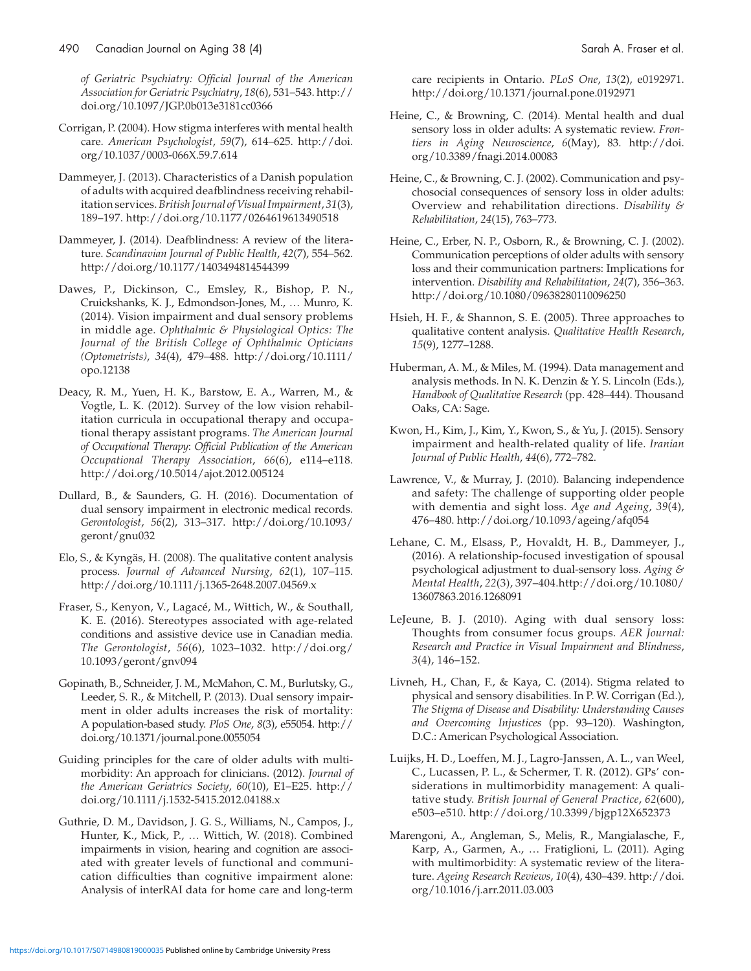*of Geriatric Psychiatry: Official Journal of the American Association for Geriatric Psychiatry*, *18*(6), 531–543. [http://](http://doi.org/10.1097/JGP.0b013e3181cc0366) [doi.org/10.1097/JGP.0b013e3181cc0366](http://doi.org/10.1097/JGP.0b013e3181cc0366)

- Corrigan, P. (2004). How stigma interferes with mental health care. *American Psychologist*, *59*(7), 614–625. [http://doi.](http://doi.org/10.1037/0003-066X.59.7.614) [org/10.1037/0003-066X.59.7.614](http://doi.org/10.1037/0003-066X.59.7.614)
- Dammeyer, J. (2013). Characteristics of a Danish population of adults with acquired deafblindness receiving rehabilitation services. *British Journal of Visual Impairment*, *31*(3), 189–197. <http://doi.org/10.1177/0264619613490518>
- Dammeyer, J. (2014). Deafblindness: A review of the literature. *Scandinavian Journal of Public Health*, *42*(7), 554–562. <http://doi.org/10.1177/1403494814544399>
- Dawes, P., Dickinson, C., Emsley, R., Bishop, P. N., Cruickshanks, K. J., Edmondson-Jones, M., … Munro, K. (2014). Vision impairment and dual sensory problems in middle age. *Ophthalmic & Physiological Optics: The Journal of the British College of Ophthalmic Opticians (Optometrists)*, *34*(4), 479–488. [http://doi.org/10.1111/](http://doi.org/10.1111/opo.12138) [opo.12138](http://doi.org/10.1111/opo.12138)
- Deacy, R. M., Yuen, H. K., Barstow, E. A., Warren, M., & Vogtle, L. K. (2012). Survey of the low vision rehabilitation curricula in occupational therapy and occupational therapy assistant programs. *The American Journal of Occupational Therapy*: *Official Publication of the American Occupational Therapy Association*, *66*(6), e114–e118. <http://doi.org/10.5014/ajot.2012.005124>
- Dullard, B., & Saunders, G. H. (2016). Documentation of dual sensory impairment in electronic medical records. *Gerontologist*, *56*(2), 313–317. [http://doi.org/10.1093/](http://doi.org/10.1093/geront/gnu032) [geront/gnu032](http://doi.org/10.1093/geront/gnu032)
- Elo, S., & Kyngäs, H. (2008). The qualitative content analysis process. *Journal of Advanced Nursing*, *62*(1), 107–115. <http://doi.org/10.1111/j.1365-2648.2007.04569.x>
- Fraser, S., Kenyon, V., Lagacé, M., Wittich, W., & Southall, K. E. (2016). Stereotypes associated with age-related conditions and assistive device use in Canadian media. *The Gerontologist*, *56*(6), 1023–1032. [http://doi.org/](http://doi.org/10.1093/geront/gnv094) [10.1093/geront/gnv094](http://doi.org/10.1093/geront/gnv094)
- Gopinath, B., Schneider, J. M., McMahon, C. M., Burlutsky, G., Leeder, S. R., & Mitchell, P. (2013). Dual sensory impairment in older adults increases the risk of mortality: A population-based study. *PloS One*, *8*(3), e55054. [http://](http://doi.org/10.1371/journal.pone.0055054) [doi.org/10.1371/journal.pone.0055054](http://doi.org/10.1371/journal.pone.0055054)
- Guiding principles for the care of older adults with multimorbidity: An approach for clinicians. (2012). *Journal of the American Geriatrics Society*, *60*(10), E1–E25. [http://](http://doi.org/10.1111/j.1532-5415.2012.04188.x) [doi.org/10.1111/j.1532-5415.2012.04188.x](http://doi.org/10.1111/j.1532-5415.2012.04188.x)
- Guthrie, D. M., Davidson, J. G. S., Williams, N., Campos, J., Hunter, K., Mick, P., … Wittich, W. (2018). Combined impairments in vision, hearing and cognition are associated with greater levels of functional and communication difficulties than cognitive impairment alone: Analysis of interRAI data for home care and long-term

care recipients in Ontario. *PLoS One*, *13*(2), e0192971. <http://doi.org/10.1371/journal.pone.0192971>

- Heine, C., & Browning, C. (2014). Mental health and dual sensory loss in older adults: A systematic review. *Frontiers in Aging Neuroscience*, *6*(May), 83. [http://doi.](http://doi.org/10.3389/fnagi.2014.00083) [org/10.3389/fnagi.2014.00083](http://doi.org/10.3389/fnagi.2014.00083)
- Heine, C., & Browning, C. J. (2002). Communication and psychosocial consequences of sensory loss in older adults: Overview and rehabilitation directions. *Disability & Rehabilitation*, *24*(15), 763–773.
- Heine, C., Erber, N. P., Osborn, R., & Browning, C. J. (2002). Communication perceptions of older adults with sensory loss and their communication partners: Implications for intervention. *Disability and Rehabilitation*, *24*(7), 356–363. <http://doi.org/10.1080/09638280110096250>
- Hsieh, H. F., & Shannon, S. E. (2005). Three approaches to qualitative content analysis. *Qualitative Health Research*, *15*(9), 1277–1288.
- Huberman, A. M., & Miles, M. (1994). Data management and analysis methods. In N. K. Denzin & Y. S. Lincoln (Eds.), *Handbook of Qualitative Research* (pp. 428–444). Thousand Oaks, CA: Sage.
- Kwon, H., Kim, J., Kim, Y., Kwon, S., & Yu, J. (2015). Sensory impairment and health-related quality of life. *Iranian Journal of Public Health*, *44*(6), 772–782.
- Lawrence, V., & Murray, J. (2010). Balancing independence and safety: The challenge of supporting older people with dementia and sight loss. *Age and Ageing*, *39*(4), 476–480. <http://doi.org/10.1093/ageing/afq054>
- Lehane, C. M., Elsass, P., Hovaldt, H. B., Dammeyer, J., (2016). A relationship-focused investigation of spousal psychological adjustment to dual-sensory loss. *Aging & Mental Health*, *22*(3), 397–404.[http://doi.org/10.1080/](http://doi.org/10.1080/13607863.2016.1268091) [13607863.2016.1268091](http://doi.org/10.1080/13607863.2016.1268091)
- LeJeune, B. J. (2010). Aging with dual sensory loss: Thoughts from consumer focus groups. *AER Journal: Research and Practice in Visual Impairment and Blindness*, *3*(4), 146–152.
- Livneh, H., Chan, F., & Kaya, C. (2014). Stigma related to physical and sensory disabilities. In P. W. Corrigan (Ed.), *The Stigma of Disease and Disability: Understanding Causes and Overcoming Injustices* (pp. 93–120). Washington, D.C.: American Psychological Association.
- Luijks, H. D., Loeffen, M. J., Lagro-Janssen, A. L., van Weel, C., Lucassen, P. L., & Schermer, T. R. (2012). GPs' considerations in multimorbidity management: A qualitative study. *British Journal of General Practice*, *62*(600), e503–e510. <http://doi.org/10.3399/bjgp12X652373>
- Marengoni, A., Angleman, S., Melis, R., Mangialasche, F., Karp, A., Garmen, A., … Fratiglioni, L. (2011). Aging with multimorbidity: A systematic review of the literature. *Ageing Research Reviews*, *10*(4), 430–439. [http://doi.](http://doi.org/10.1016/j.arr.2011.03.003) [org/10.1016/j.arr.2011.03.003](http://doi.org/10.1016/j.arr.2011.03.003)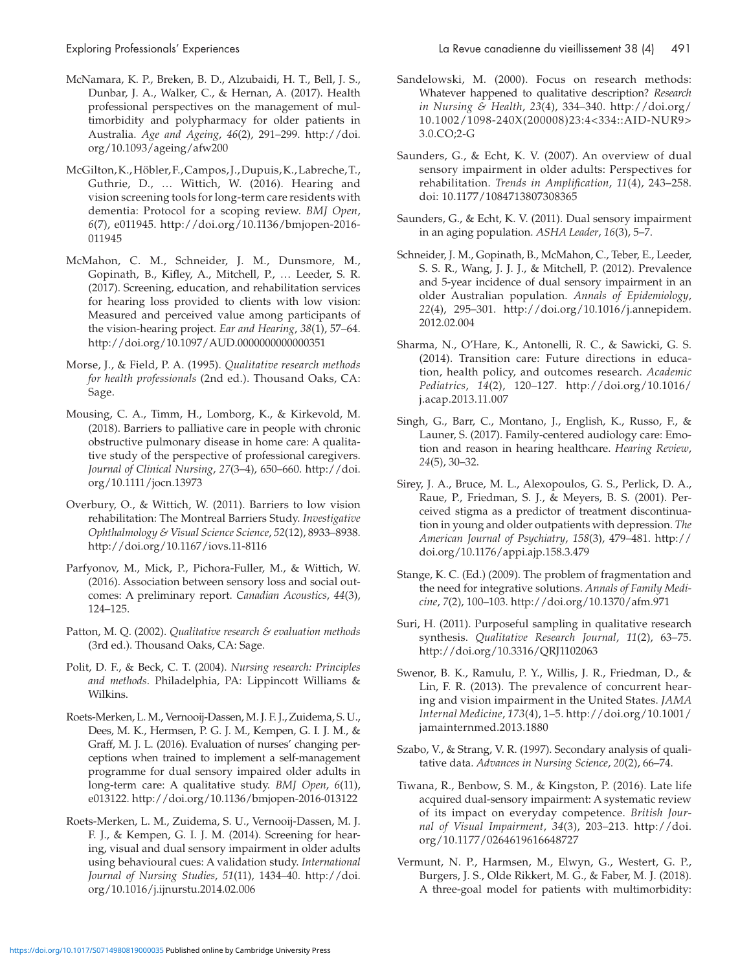- McNamara, K. P., Breken, B. D., Alzubaidi, H. T., Bell, J. S., Dunbar, J. A., Walker, C., & Hernan, A. (2017). Health professional perspectives on the management of multimorbidity and polypharmacy for older patients in Australia. *Age and Ageing*, *46*(2), 291–299. [http://doi.](http://doi.org/10.1093/ageing/afw200) [org/10.1093/ageing/afw200](http://doi.org/10.1093/ageing/afw200)
- McGilton, K., Höbler, F., Campos, J., Dupuis, K., Labreche, T., Guthrie, D., … Wittich, W. (2016). Hearing and vision screening tools for long-term care residents with dementia: Protocol for a scoping review. *BMJ Open*, *6*(7), e011945. [http://doi.org/10.1136/bmjopen-2016-](http://doi.org/10.1136/bmjopen-2016-011945) [011945](http://doi.org/10.1136/bmjopen-2016-011945)
- McMahon, C. M., Schneider, J. M., Dunsmore, M., Gopinath, B., Kifley, A., Mitchell, P., … Leeder, S. R. (2017). Screening, education, and rehabilitation services for hearing loss provided to clients with low vision: Measured and perceived value among participants of the vision-hearing project. *Ear and Hearing*, *38*(1), 57–64. <http://doi.org/10.1097/AUD.0000000000000351>
- Morse, J., & Field, P. A. (1995). *Qualitative research methods for health professionals* (2nd ed.). Thousand Oaks, CA: Sage.
- Mousing, C. A., Timm, H., Lomborg, K., & Kirkevold, M. (2018). Barriers to palliative care in people with chronic obstructive pulmonary disease in home care: A qualitative study of the perspective of professional caregivers. *Journal of Clinical Nursing*, *27*(3–4), 650–660. [http://doi.](http://doi.org/10.1111/jocn.13973) [org/10.1111/jocn.13973](http://doi.org/10.1111/jocn.13973)
- Overbury, O., & Wittich, W. (2011). Barriers to low vision rehabilitation: The Montreal Barriers Study. *Investigative Ophthalmology & Visual Science Science*, *52*(12), 8933–8938. <http://doi.org/10.1167/iovs.11-8116>
- Parfyonov, M., Mick, P., Pichora-Fuller, M., & Wittich, W. (2016). Association between sensory loss and social outcomes: A preliminary report. *Canadian Acoustics*, *44*(3), 124–125.
- Patton, M. Q. (2002). *Qualitative research & evaluation methods* (3rd ed.). Thousand Oaks, CA: Sage.
- Polit, D. F., & Beck, C. T. (2004). *Nursing research: Principles and methods*. Philadelphia, PA: Lippincott Williams & Wilkins.
- Roets-Merken, L. M., Vernooij-Dassen, M. J. F. J., Zuidema, S. U., Dees, M. K., Hermsen, P. G. J. M., Kempen, G. I. J. M., & Graff, M. J. L. (2016). Evaluation of nurses' changing perceptions when trained to implement a self-management programme for dual sensory impaired older adults in long-term care: A qualitative study. *BMJ Open*, *6*(11), e013122. <http://doi.org/10.1136/bmjopen-2016-013122>
- Roets-Merken, L. M., Zuidema, S. U., Vernooij-Dassen, M. J. F. J., & Kempen, G. I. J. M. (2014). Screening for hearing, visual and dual sensory impairment in older adults using behavioural cues: A validation study. *International Journal of Nursing Studies*, *51*(11), 1434–40. [http://doi.](http://doi.org/10.1016/j.ijnurstu.2014.02.006) [org/10.1016/j.ijnurstu.2014.02.006](http://doi.org/10.1016/j.ijnurstu.2014.02.006)
- Sandelowski, M. (2000). Focus on research methods: Whatever happened to qualitative description? *Research in Nursing & Health*, *23*(4), 334–340. [http://doi.org/](http://doi.org/10.1002/1098-240X) [10.1002/1098-240X\(](http://doi.org/10.1002/1098-240X)200008)23:4<334::AID-NUR9> 3.0.CO;2-G
- Saunders, G., & Echt, K. V. (2007). An overview of dual sensory impairment in older adults: Perspectives for rehabilitation. *Trends in Amplification*, *11*(4), 243–258. doi: [10.1177/1084713807308365](https://doi.org/10.1177/1084713807308365)
- Saunders, G., & Echt, K. V. (2011). Dual sensory impairment in an aging population. *ASHA Leader*, *16*(3), 5–7.
- Schneider, J. M., Gopinath, B., McMahon, C., Teber, E., Leeder, S. S. R., Wang, J. J. J., & Mitchell, P. (2012). Prevalence and 5-year incidence of dual sensory impairment in an older Australian population. *Annals of Epidemiology*, *22*(4), 295–301. [http://doi.org/10.1016/j.annepidem.](http://doi.org/10.1016/j.annepidem.2012.02.004) [2012.02.004](http://doi.org/10.1016/j.annepidem.2012.02.004)
- Sharma, N., O'Hare, K., Antonelli, R. C., & Sawicki, G. S. (2014). Transition care: Future directions in education, health policy, and outcomes research. *Academic Pediatrics*, *14*(2), 120–127. [http://doi.org/10.1016/](http://doi.org/10.1016/j.acap.2013.11.007) [j.acap.2013.11.007](http://doi.org/10.1016/j.acap.2013.11.007)
- Singh, G., Barr, C., Montano, J., English, K., Russo, F., & Launer, S. (2017). Family-centered audiology care: Emotion and reason in hearing healthcare. *Hearing Review*, *24*(5), 30–32.
- Sirey, J. A., Bruce, M. L., Alexopoulos, G. S., Perlick, D. A., Raue, P., Friedman, S. J., & Meyers, B. S. (2001). Perceived stigma as a predictor of treatment discontinuation in young and older outpatients with depression. *The American Journal of Psychiatry*, *158*(3), 479–481. [http://](http://doi.org/10.1176/appi.ajp.158.3.479) [doi.org/10.1176/appi.ajp.158.3.479](http://doi.org/10.1176/appi.ajp.158.3.479)
- Stange, K. C. (Ed.) (2009). The problem of fragmentation and the need for integrative solutions. *Annals of Family Medicine*, *7*(2), 100–103. <http://doi.org/10.1370/afm.971>
- Suri, H. (2011). Purposeful sampling in qualitative research synthesis. *Qualitative Research Journal*, *11*(2), 63–75. <http://doi.org/10.3316/QRJ1102063>
- Swenor, B. K., Ramulu, P. Y., Willis, J. R., Friedman, D., & Lin, F. R. (2013). The prevalence of concurrent hearing and vision impairment in the United States. *JAMA Internal Medicine*, *173*(4), 1–5. [http://doi.org/10.1001/](http://doi.org/10.1001/jamainternmed.2013.1880) [jamainternmed.2013.1880](http://doi.org/10.1001/jamainternmed.2013.1880)
- Szabo, V., & Strang, V. R. (1997). Secondary analysis of qualitative data. *Advances in Nursing Science*, *20*(2), 66–74.
- Tiwana, R., Benbow, S. M., & Kingston, P. (2016). Late life acquired dual-sensory impairment: A systematic review of its impact on everyday competence. *British Journal of Visual Impairment*, *34*(3), 203–213. [http://doi.](http://doi.org/10.1177/0264619616648727) [org/10.1177/0264619616648727](http://doi.org/10.1177/0264619616648727)
- Vermunt, N. P., Harmsen, M., Elwyn, G., Westert, G. P., Burgers, J. S., Olde Rikkert, M. G., & Faber, M. J. (2018). A three-goal model for patients with multimorbidity: